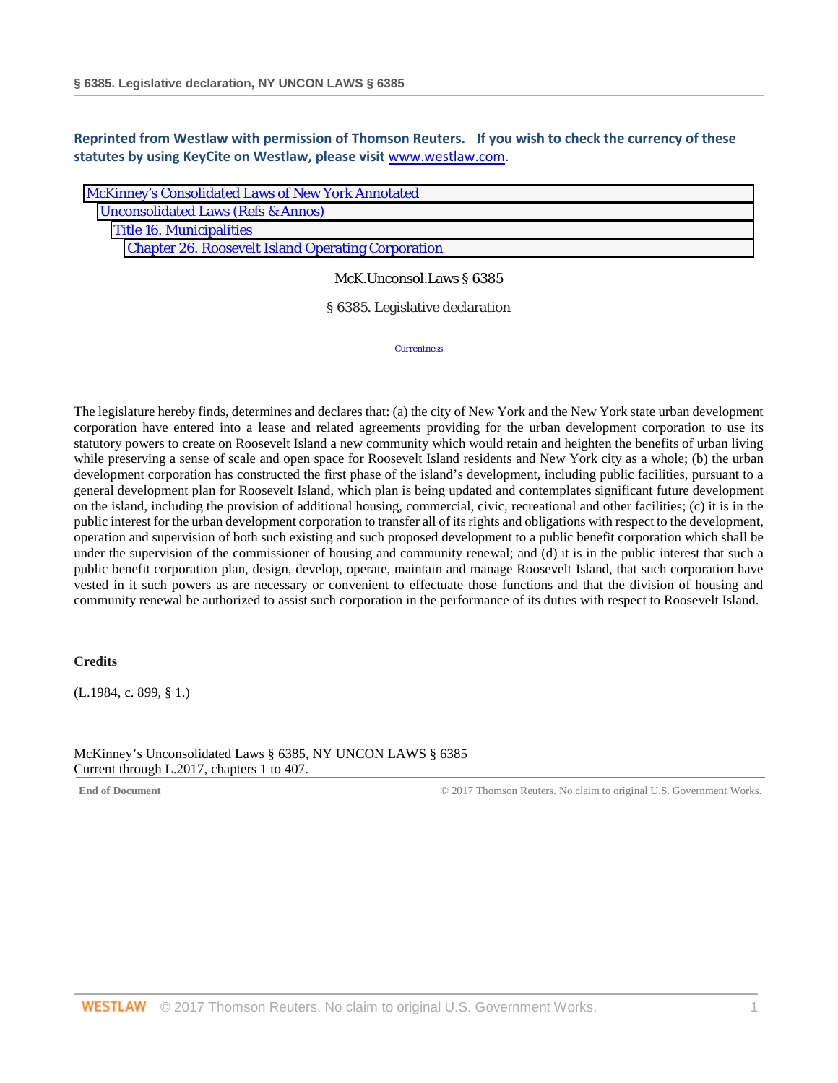**Reprinted from Westlaw with permission of Thomson Reuters. If you wish to check the currency of these statutes by using KeyCite on Westlaw, please visit** [www.westlaw.com.](http://www.westlaw.com/)

| McKinney's Consolidated Laws of New York Annotated        |
|-----------------------------------------------------------|
| <b>Unconsolidated Laws (Refs &amp; Annos)</b>             |
| <b>Title 16. Municipalities</b>                           |
| <b>Chapter 26. Roosevelt Island Operating Corporation</b> |

## McK.Unconsol.Laws § 6385

§ 6385. Legislative declaration

**Currentness** 

The legislature hereby finds, determines and declares that: (a) the city of New York and the New York state urban development corporation have entered into a lease and related agreements providing for the urban development corporation to use its statutory powers to create on Roosevelt Island a new community which would retain and heighten the benefits of urban living while preserving a sense of scale and open space for Roosevelt Island residents and New York city as a whole; (b) the urban development corporation has constructed the first phase of the island's development, including public facilities, pursuant to a general development plan for Roosevelt Island, which plan is being updated and contemplates significant future development on the island, including the provision of additional housing, commercial, civic, recreational and other facilities; (c) it is in the public interest for the urban development corporation to transfer all of its rights and obligations with respect to the development, operation and supervision of both such existing and such proposed development to a public benefit corporation which shall be under the supervision of the commissioner of housing and community renewal; and (d) it is in the public interest that such a public benefit corporation plan, design, develop, operate, maintain and manage Roosevelt Island, that such corporation have vested in it such powers as are necessary or convenient to effectuate those functions and that the division of housing and community renewal be authorized to assist such corporation in the performance of its duties with respect to Roosevelt Island.

### **Credits**

(L.1984, c. 899, § 1.)

McKinney's Unconsolidated Laws § 6385, NY UNCON LAWS § 6385 Current through L.2017, chapters 1 to 407.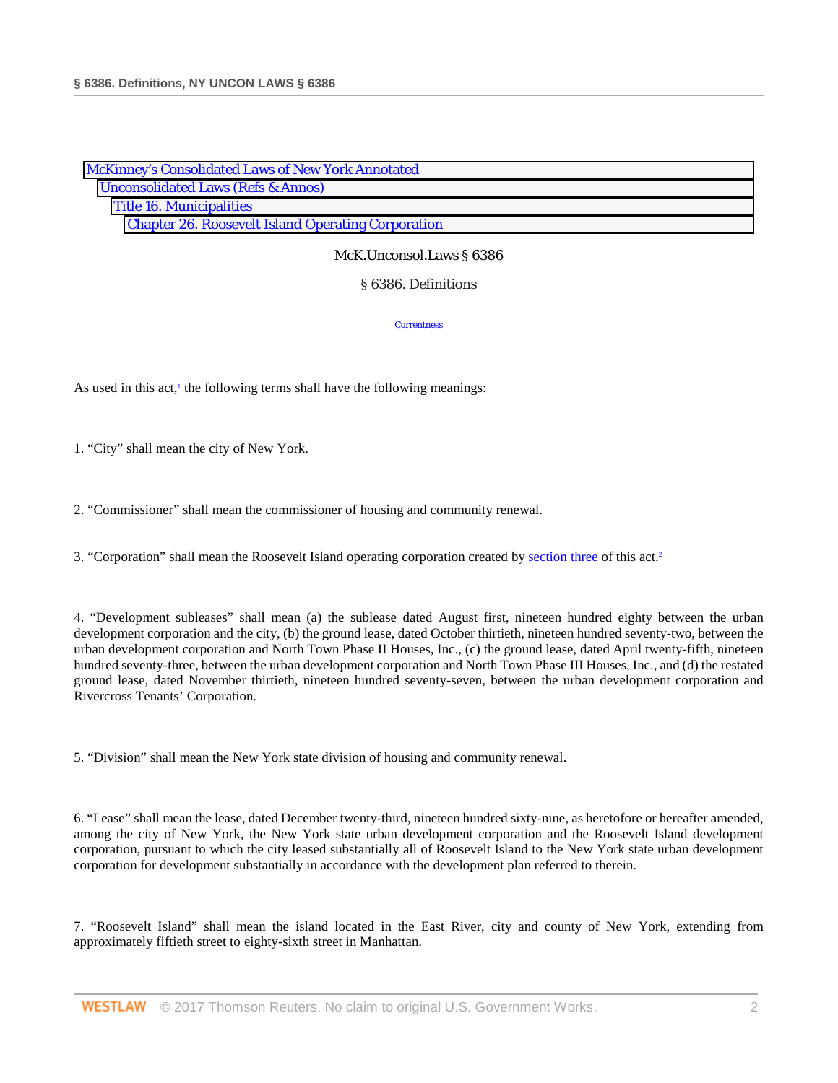| <b>McKinney's Consolidated Laws of New York Annotated</b> |  |
|-----------------------------------------------------------|--|
| <b>Unconsolidated Laws (Refs &amp; Annos)</b>             |  |
| <b>Title 16. Municipalities</b>                           |  |
| <b>Chapter 26. Roosevelt Island Operating Corporation</b> |  |

### § 6386. Definitions

**Currentness** 

As used in this act, $\frac{1}{1}$  the following terms shall have the following meanings:

1. "City" shall mean the city of New York.

2. "Commissioner" shall mean the commissioner of housing and community renewal.

3. "Corporation" shall mean the Roosevelt Island operating corporation created by [section three](http://www.westlaw.com/Link/Document/FullText?findType=L&pubNum=1000161&cite=NYULS3&originatingDoc=N2772E0F088C311D8A8ACD145B11214D7&refType=LQ&originationContext=document&vr=3.0&rs=cblt1.0&transitionType=DocumentItem&contextData=(sc.Search)) of this act.2

4. "Development subleases" shall mean (a) the sublease dated August first, nineteen hundred eighty between the urban development corporation and the city, (b) the ground lease, dated October thirtieth, nineteen hundred seventy-two, between the urban development corporation and North Town Phase II Houses, Inc., (c) the ground lease, dated April twenty-fifth, nineteen hundred seventy-three, between the urban development corporation and North Town Phase III Houses, Inc., and (d) the restated ground lease, dated November thirtieth, nineteen hundred seventy-seven, between the urban development corporation and Rivercross Tenants' Corporation.

5. "Division" shall mean the New York state division of housing and community renewal.

6. "Lease" shall mean the lease, dated December twenty-third, nineteen hundred sixty-nine, as heretofore or hereafter amended, among the city of New York, the New York state urban development corporation and the Roosevelt Island development corporation, pursuant to which the city leased substantially all of Roosevelt Island to the New York state urban development corporation for development substantially in accordance with the development plan referred to therein.

7. "Roosevelt Island" shall mean the island located in the East River, city and county of New York, extending from approximately fiftieth street to eighty-sixth street in Manhattan.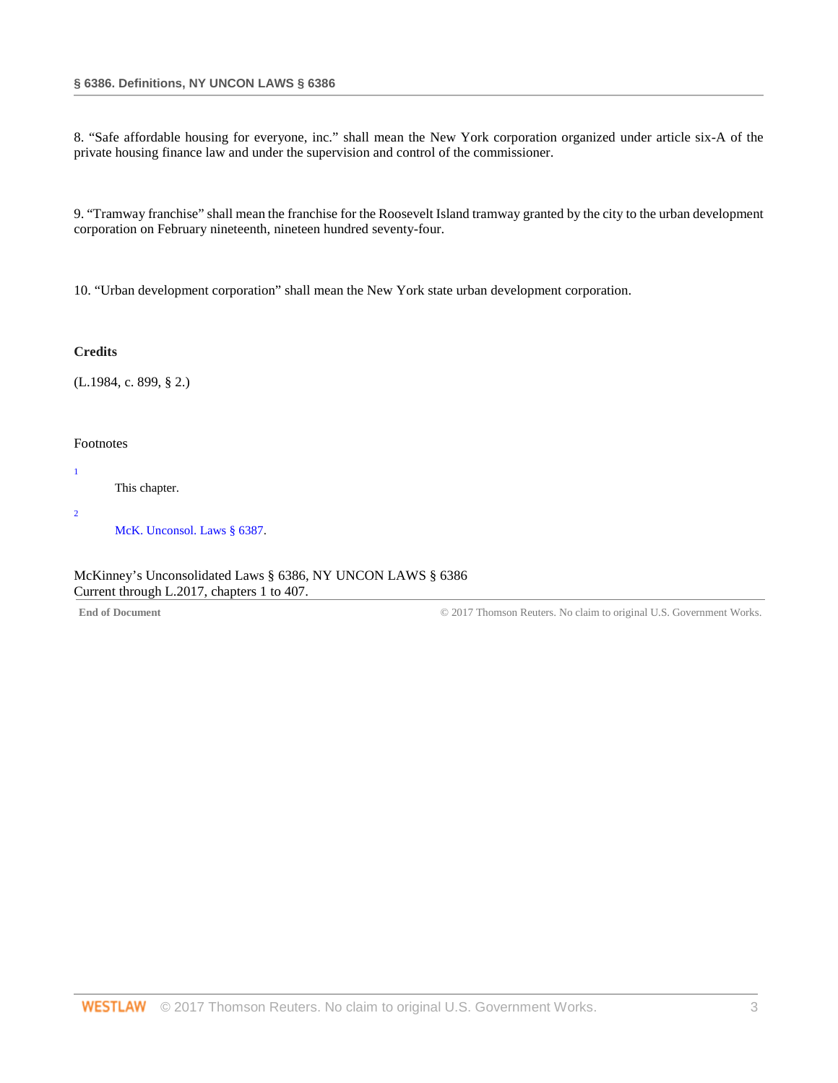8. "Safe affordable housing for everyone, inc." shall mean the New York corporation organized under article six-A of the private housing finance law and under the supervision and control of the commissioner.

9. "Tramway franchise" shall mean the franchise for the Roosevelt Island tramway granted by the city to the urban development corporation on February nineteenth, nineteen hundred seventy-four.

10. "Urban development corporation" shall mean the New York state urban development corporation.

### **Credits**

(L.1984, c. 899, § 2.)

### Footnotes

This chapter.

2

1

[McK. Unconsol. Laws § 6387.](http://www.westlaw.com/Link/Document/FullText?findType=L&pubNum=1000161&cite=NYULS6387&originatingDoc=N2772E0F088C311D8A8ACD145B11214D7&refType=LQ&originationContext=document&vr=3.0&rs=cblt1.0&transitionType=DocumentItem&contextData=(sc.Search))

McKinney's Unconsolidated Laws § 6386, NY UNCON LAWS § 6386 Current through L.2017, chapters 1 to 407.

End of Document **End of Document** Works. Covernment Works.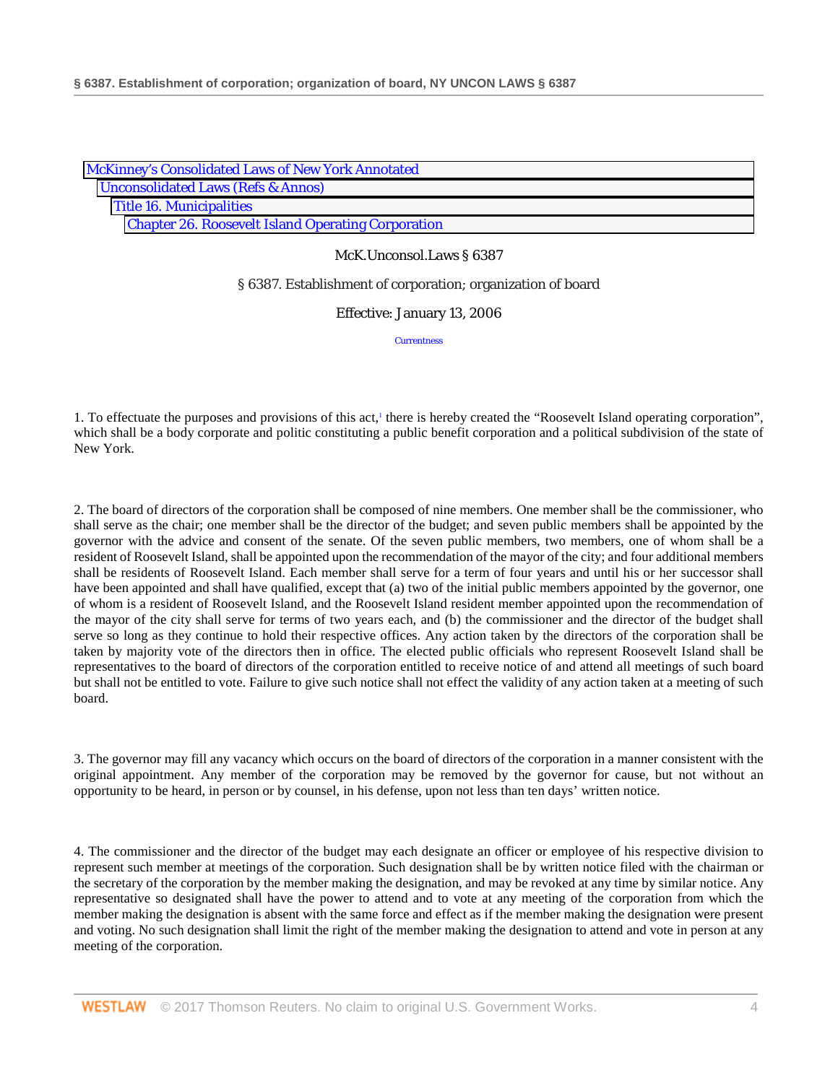| McKinney's Consolidated Laws of New York Annotated        |
|-----------------------------------------------------------|
| <b>Unconsolidated Laws (Refs &amp; Annos)</b>             |
| <b>Title 16. Municipalities</b>                           |
| <b>Chapter 26. Roosevelt Island Operating Corporation</b> |

§ 6387. Establishment of corporation; organization of board

Effective: January 13, 2006

**Currentness** 

1. To effectuate the purposes and provisions of this act,<sup>1</sup> there is hereby created the "Roosevelt Island operating corporation", which shall be a body corporate and politic constituting a public benefit corporation and a political subdivision of the state of New York.

2. The board of directors of the corporation shall be composed of nine members. One member shall be the commissioner, who shall serve as the chair; one member shall be the director of the budget; and seven public members shall be appointed by the governor with the advice and consent of the senate. Of the seven public members, two members, one of whom shall be a resident of Roosevelt Island, shall be appointed upon the recommendation of the mayor of the city; and four additional members shall be residents of Roosevelt Island. Each member shall serve for a term of four years and until his or her successor shall have been appointed and shall have qualified, except that (a) two of the initial public members appointed by the governor, one of whom is a resident of Roosevelt Island, and the Roosevelt Island resident member appointed upon the recommendation of the mayor of the city shall serve for terms of two years each, and (b) the commissioner and the director of the budget shall serve so long as they continue to hold their respective offices. Any action taken by the directors of the corporation shall be taken by majority vote of the directors then in office. The elected public officials who represent Roosevelt Island shall be representatives to the board of directors of the corporation entitled to receive notice of and attend all meetings of such board but shall not be entitled to vote. Failure to give such notice shall not effect the validity of any action taken at a meeting of such board.

3. The governor may fill any vacancy which occurs on the board of directors of the corporation in a manner consistent with the original appointment. Any member of the corporation may be removed by the governor for cause, but not without an opportunity to be heard, in person or by counsel, in his defense, upon not less than ten days' written notice.

4. The commissioner and the director of the budget may each designate an officer or employee of his respective division to represent such member at meetings of the corporation. Such designation shall be by written notice filed with the chairman or the secretary of the corporation by the member making the designation, and may be revoked at any time by similar notice. Any representative so designated shall have the power to attend and to vote at any meeting of the corporation from which the member making the designation is absent with the same force and effect as if the member making the designation were present and voting. No such designation shall limit the right of the member making the designation to attend and vote in person at any meeting of the corporation.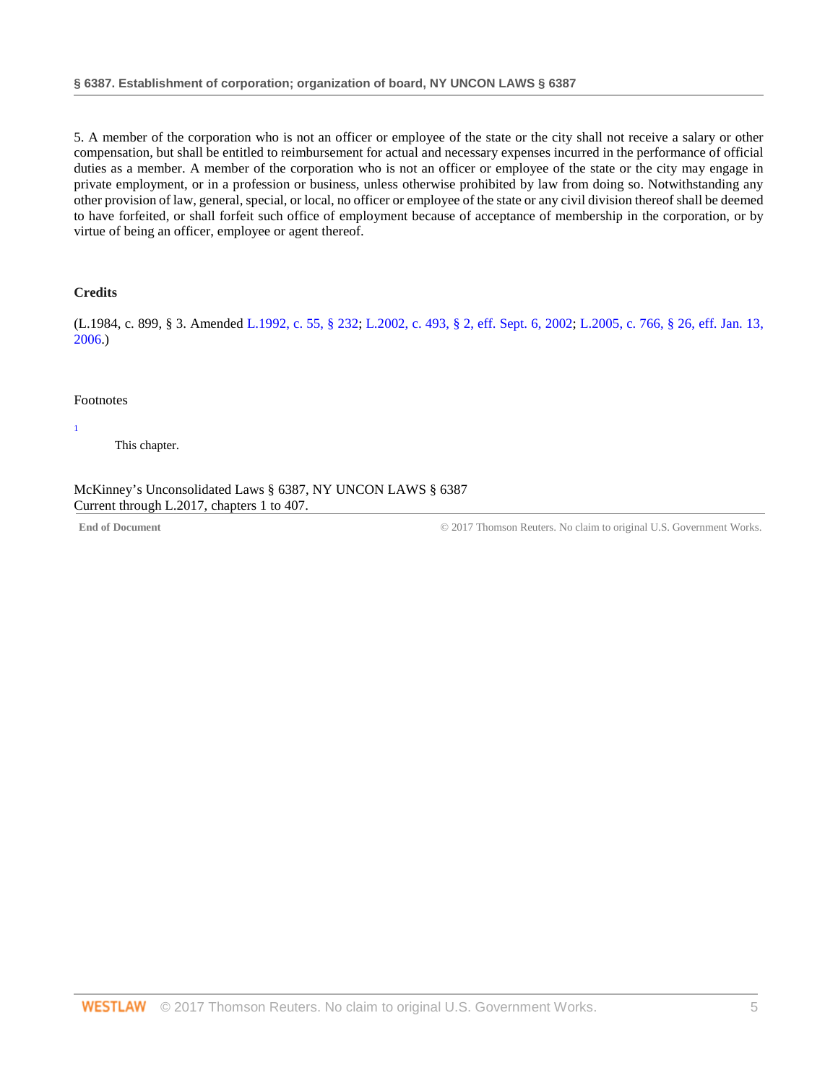5. A member of the corporation who is not an officer or employee of the state or the city shall not receive a salary or other compensation, but shall be entitled to reimbursement for actual and necessary expenses incurred in the performance of official duties as a member. A member of the corporation who is not an officer or employee of the state or the city may engage in private employment, or in a profession or business, unless otherwise prohibited by law from doing so. Notwithstanding any other provision of law, general, special, or local, no officer or employee of the state or any civil division thereof shall be deemed to have forfeited, or shall forfeit such office of employment because of acceptance of membership in the corporation, or by virtue of being an officer, employee or agent thereof.

## **Credits**

(L.1984, c. 899, § 3. Amended [L.1992, c. 55, § 232;](http://www.westlaw.com/Link/Document/FullText?findType=l&pubNum=1077005&cite=UUID(I1DC9000742-404A79BC116-55FA9105D11)&originatingDoc=NDA953550890E11DA9848ABA9423F8889&refType=SL&originationContext=document&vr=3.0&rs=cblt1.0&transitionType=DocumentItem&contextData=(sc.Search)) [L.2002, c. 493, § 2, eff. Sept. 6, 2002;](http://www.westlaw.com/Link/Document/FullText?findType=l&pubNum=1077005&cite=UUID(I380BFFE163-834FE2AE245-57E3666CE14)&originatingDoc=NDA953550890E11DA9848ABA9423F8889&refType=SL&originationContext=document&vr=3.0&rs=cblt1.0&transitionType=DocumentItem&contextData=(sc.Search)) [L.2005, c. 766, § 26, eff. Jan. 13,](http://www.westlaw.com/Link/Document/FullText?findType=l&pubNum=1077005&cite=UUID(IF30C1BA089-D411DABB4CE-4AECC5ACE51)&originatingDoc=NDA953550890E11DA9848ABA9423F8889&refType=SL&originationContext=document&vr=3.0&rs=cblt1.0&transitionType=DocumentItem&contextData=(sc.Search))  [2006.](http://www.westlaw.com/Link/Document/FullText?findType=l&pubNum=1077005&cite=UUID(IF30C1BA089-D411DABB4CE-4AECC5ACE51)&originatingDoc=NDA953550890E11DA9848ABA9423F8889&refType=SL&originationContext=document&vr=3.0&rs=cblt1.0&transitionType=DocumentItem&contextData=(sc.Search)))

#### Footnotes

1

This chapter.

McKinney's Unconsolidated Laws § 6387, NY UNCON LAWS § 6387 Current through L.2017, chapters 1 to 407.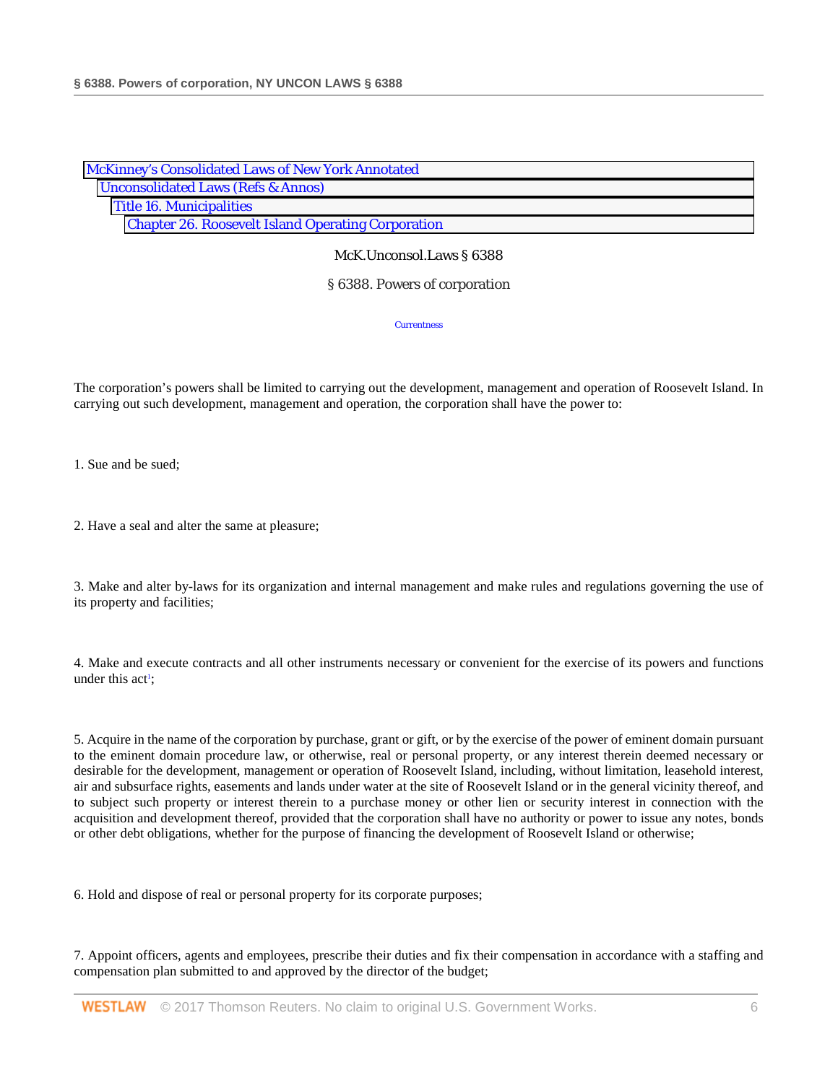| McKinney's Consolidated Laws of New York Annotated        |  |
|-----------------------------------------------------------|--|
| <b>Unconsolidated Laws (Refs &amp; Annos)</b>             |  |
| <b>Title 16. Municipalities</b>                           |  |
| <b>Chapter 26. Roosevelt Island Operating Corporation</b> |  |

§ 6388. Powers of corporation

**Currentness** 

The corporation's powers shall be limited to carrying out the development, management and operation of Roosevelt Island. In carrying out such development, management and operation, the corporation shall have the power to:

1. Sue and be sued;

2. Have a seal and alter the same at pleasure;

3. Make and alter by-laws for its organization and internal management and make rules and regulations governing the use of its property and facilities;

4. Make and execute contracts and all other instruments necessary or convenient for the exercise of its powers and functions under this act<sup>1</sup>;

5. Acquire in the name of the corporation by purchase, grant or gift, or by the exercise of the power of eminent domain pursuant to the eminent domain procedure law, or otherwise, real or personal property, or any interest therein deemed necessary or desirable for the development, management or operation of Roosevelt Island, including, without limitation, leasehold interest, air and subsurface rights, easements and lands under water at the site of Roosevelt Island or in the general vicinity thereof, and to subject such property or interest therein to a purchase money or other lien or security interest in connection with the acquisition and development thereof, provided that the corporation shall have no authority or power to issue any notes, bonds or other debt obligations, whether for the purpose of financing the development of Roosevelt Island or otherwise;

6. Hold and dispose of real or personal property for its corporate purposes;

7. Appoint officers, agents and employees, prescribe their duties and fix their compensation in accordance with a staffing and compensation plan submitted to and approved by the director of the budget;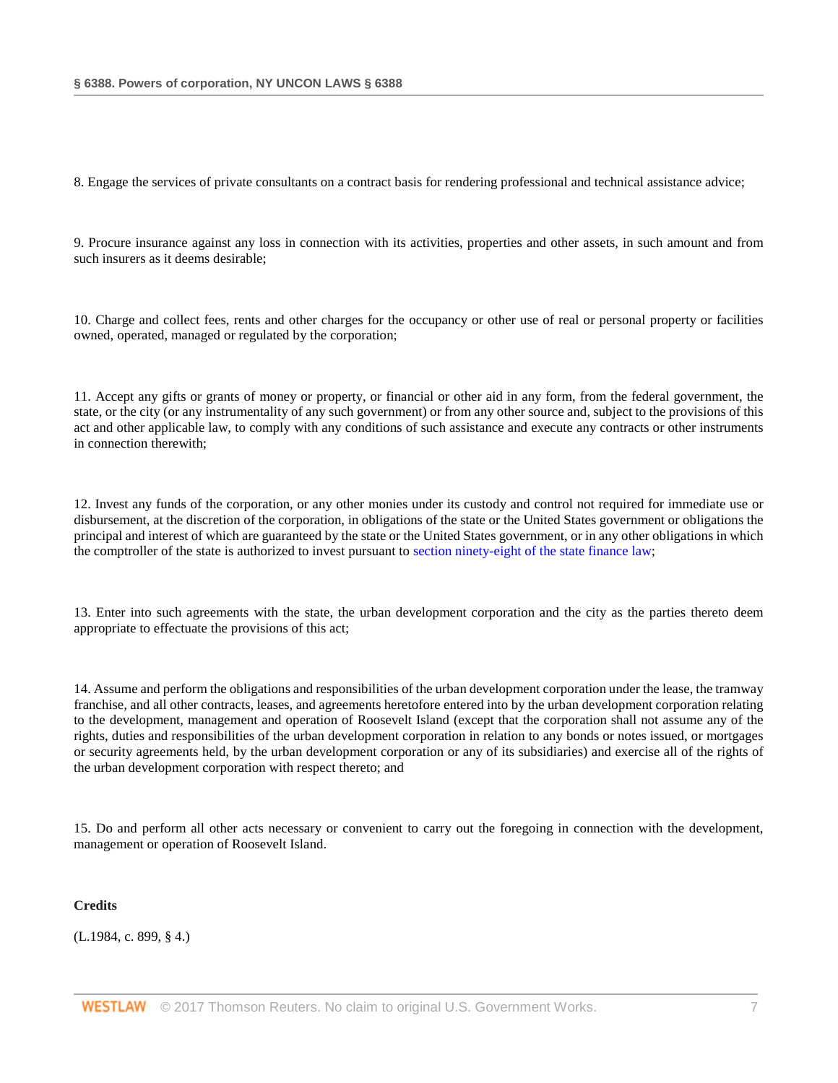8. Engage the services of private consultants on a contract basis for rendering professional and technical assistance advice;

9. Procure insurance against any loss in connection with its activities, properties and other assets, in such amount and from such insurers as it deems desirable;

10. Charge and collect fees, rents and other charges for the occupancy or other use of real or personal property or facilities owned, operated, managed or regulated by the corporation;

11. Accept any gifts or grants of money or property, or financial or other aid in any form, from the federal government, the state, or the city (or any instrumentality of any such government) or from any other source and, subject to the provisions of this act and other applicable law, to comply with any conditions of such assistance and execute any contracts or other instruments in connection therewith;

12. Invest any funds of the corporation, or any other monies under its custody and control not required for immediate use or disbursement, at the discretion of the corporation, in obligations of the state or the United States government or obligations the principal and interest of which are guaranteed by the state or the United States government, or in any other obligations in which the comptroller of the state is authorized to invest pursuant to [section ninety-eight of the state finance law;](http://www.westlaw.com/Link/Document/FullText?findType=L&pubNum=1000138&cite=NYSFS98&originatingDoc=N2C613D0088C311D8A8ACD145B11214D7&refType=LQ&originationContext=document&vr=3.0&rs=cblt1.0&transitionType=DocumentItem&contextData=(sc.Search))

13. Enter into such agreements with the state, the urban development corporation and the city as the parties thereto deem appropriate to effectuate the provisions of this act;

14. Assume and perform the obligations and responsibilities of the urban development corporation under the lease, the tramway franchise, and all other contracts, leases, and agreements heretofore entered into by the urban development corporation relating to the development, management and operation of Roosevelt Island (except that the corporation shall not assume any of the rights, duties and responsibilities of the urban development corporation in relation to any bonds or notes issued, or mortgages or security agreements held, by the urban development corporation or any of its subsidiaries) and exercise all of the rights of the urban development corporation with respect thereto; and

15. Do and perform all other acts necessary or convenient to carry out the foregoing in connection with the development, management or operation of Roosevelt Island.

**Credits**

(L.1984, c. 899, § 4.)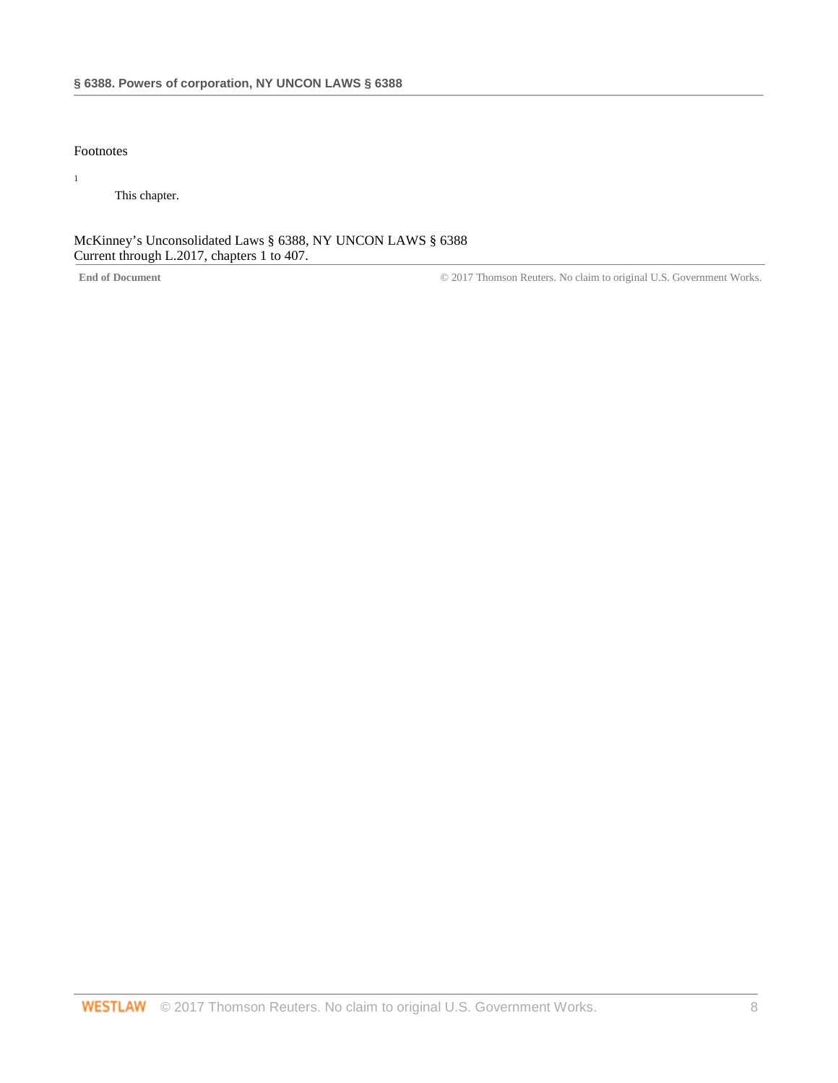# Footnotes

1

This chapter.

McKinney's Unconsolidated Laws § 6388, NY UNCON LAWS § 6388 Current through L.2017, chapters 1 to 407.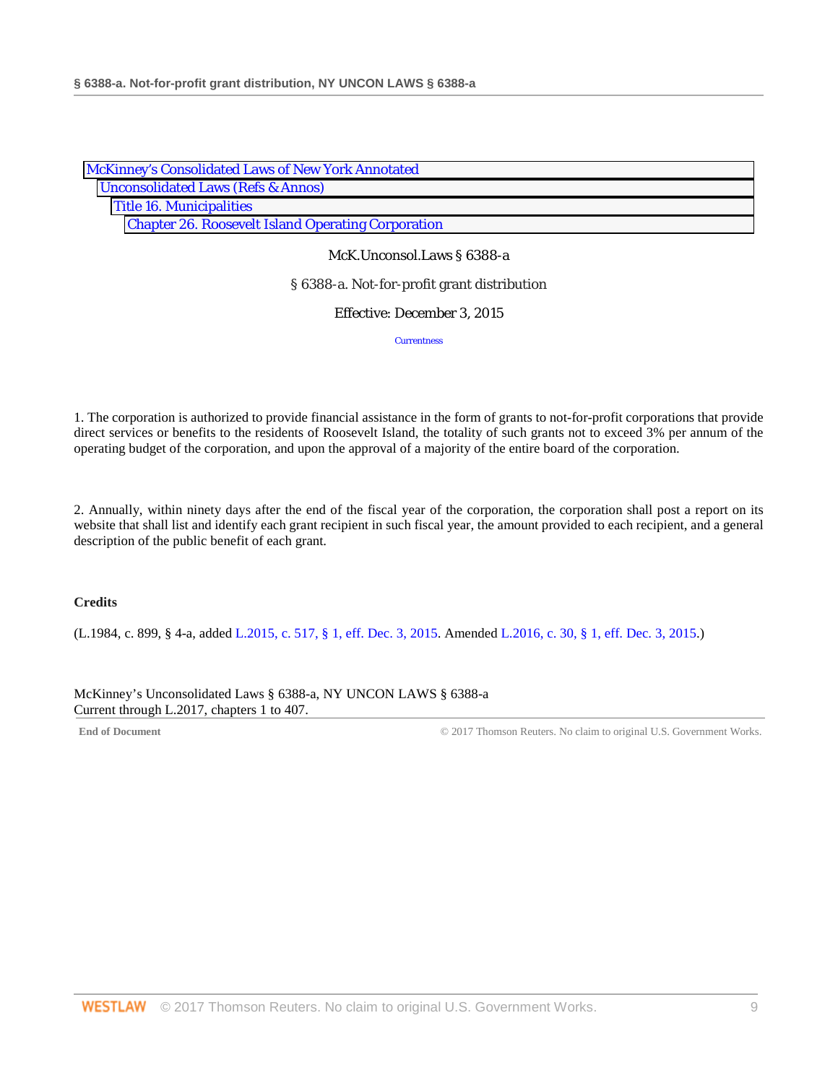| McKinney's Consolidated Laws of New York Annotated        |  |
|-----------------------------------------------------------|--|
| <b>Unconsolidated Laws (Refs &amp; Annos)</b>             |  |
| <b>Title 16. Municipalities</b>                           |  |
| <b>Chapter 26. Roosevelt Island Operating Corporation</b> |  |

McK.Unconsol.Laws § 6388-a

§ 6388-a. Not-for-profit grant distribution

Effective: December 3, 2015

**Currentness** 

1. The corporation is authorized to provide financial assistance in the form of grants to not-for-profit corporations that provide direct services or benefits to the residents of Roosevelt Island, the totality of such grants not to exceed 3% per annum of the operating budget of the corporation, and upon the approval of a majority of the entire board of the corporation.

2. Annually, within ninety days after the end of the fiscal year of the corporation, the corporation shall post a report on its website that shall list and identify each grant recipient in such fiscal year, the amount provided to each recipient, and a general description of the public benefit of each grant.

# **Credits**

(L.1984, c. 899, § 4-a, added [L.2015, c. 517, § 1, eff. Dec. 3, 2015.](http://www.westlaw.com/Link/Document/FullText?findType=l&pubNum=1077005&cite=UUID(IB43FBBD09E-3111E58081B-A3777C71271)&originatingDoc=N44535C309ED311E5AD02EFCB7F3D4F08&refType=SL&originationContext=document&vr=3.0&rs=cblt1.0&transitionType=DocumentItem&contextData=(sc.Search)) Amended [L.2016, c. 30, § 1, eff. Dec. 3, 2015.](http://www.westlaw.com/Link/Document/FullText?findType=l&pubNum=1077005&cite=UUID(I6F9E908000-5D11E6A3228-0D4D552669E)&originatingDoc=N44535C309ED311E5AD02EFCB7F3D4F08&refType=SL&originationContext=document&vr=3.0&rs=cblt1.0&transitionType=DocumentItem&contextData=(sc.Search)))

McKinney's Unconsolidated Laws § 6388-a, NY UNCON LAWS § 6388-a Current through L.2017, chapters 1 to 407.

End of Document **End of Document** Works. Covernment Works.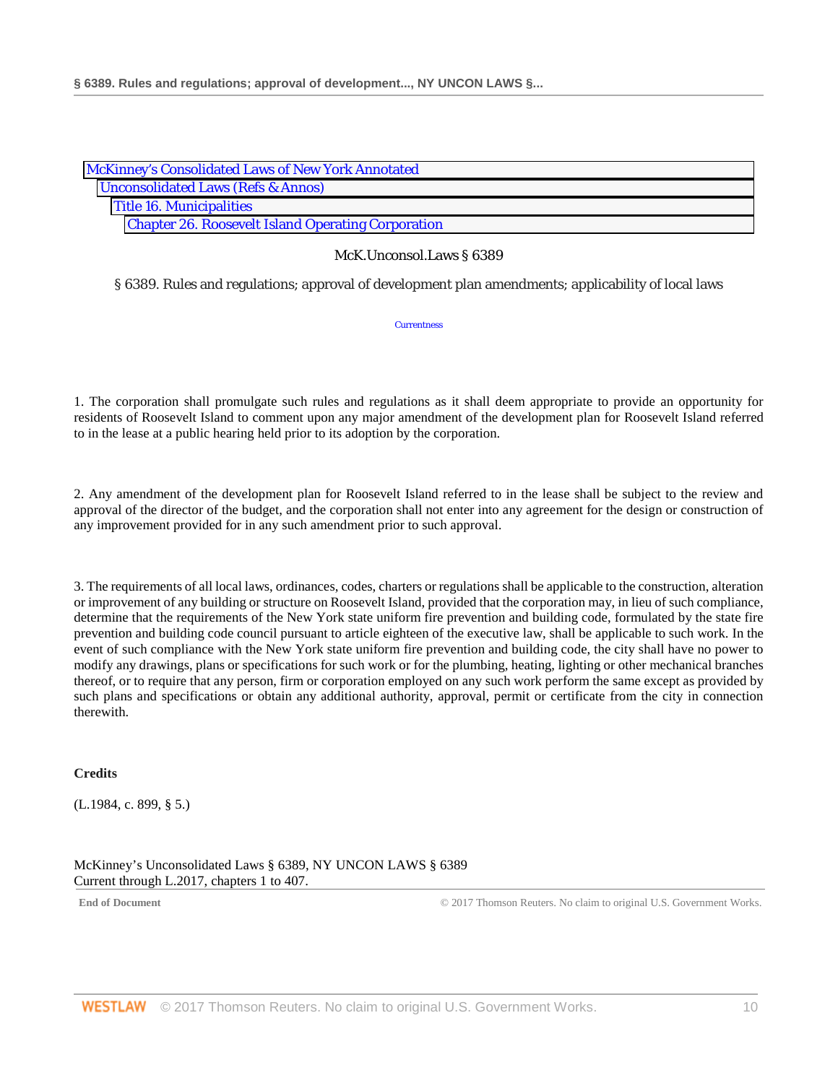| McKinney's Consolidated Laws of New York Annotated        |
|-----------------------------------------------------------|
| <b>Unconsolidated Laws (Refs &amp; Annos)</b>             |
| <b>Title 16. Municipalities</b>                           |
| <b>Chapter 26. Roosevelt Island Operating Corporation</b> |

§ 6389. Rules and regulations; approval of development plan amendments; applicability of local laws

**Currentness** 

1. The corporation shall promulgate such rules and regulations as it shall deem appropriate to provide an opportunity for residents of Roosevelt Island to comment upon any major amendment of the development plan for Roosevelt Island referred to in the lease at a public hearing held prior to its adoption by the corporation.

2. Any amendment of the development plan for Roosevelt Island referred to in the lease shall be subject to the review and approval of the director of the budget, and the corporation shall not enter into any agreement for the design or construction of any improvement provided for in any such amendment prior to such approval.

3. The requirements of all local laws, ordinances, codes, charters or regulations shall be applicable to the construction, alteration or improvement of any building or structure on Roosevelt Island, provided that the corporation may, in lieu of such compliance, determine that the requirements of the New York state uniform fire prevention and building code, formulated by the state fire prevention and building code council pursuant to article eighteen of the executive law, shall be applicable to such work. In the event of such compliance with the New York state uniform fire prevention and building code, the city shall have no power to modify any drawings, plans or specifications for such work or for the plumbing, heating, lighting or other mechanical branches thereof, or to require that any person, firm or corporation employed on any such work perform the same except as provided by such plans and specifications or obtain any additional authority, approval, permit or certificate from the city in connection therewith.

# **Credits**

(L.1984, c. 899, § 5.)

McKinney's Unconsolidated Laws § 6389, NY UNCON LAWS § 6389 Current through L.2017, chapters 1 to 407.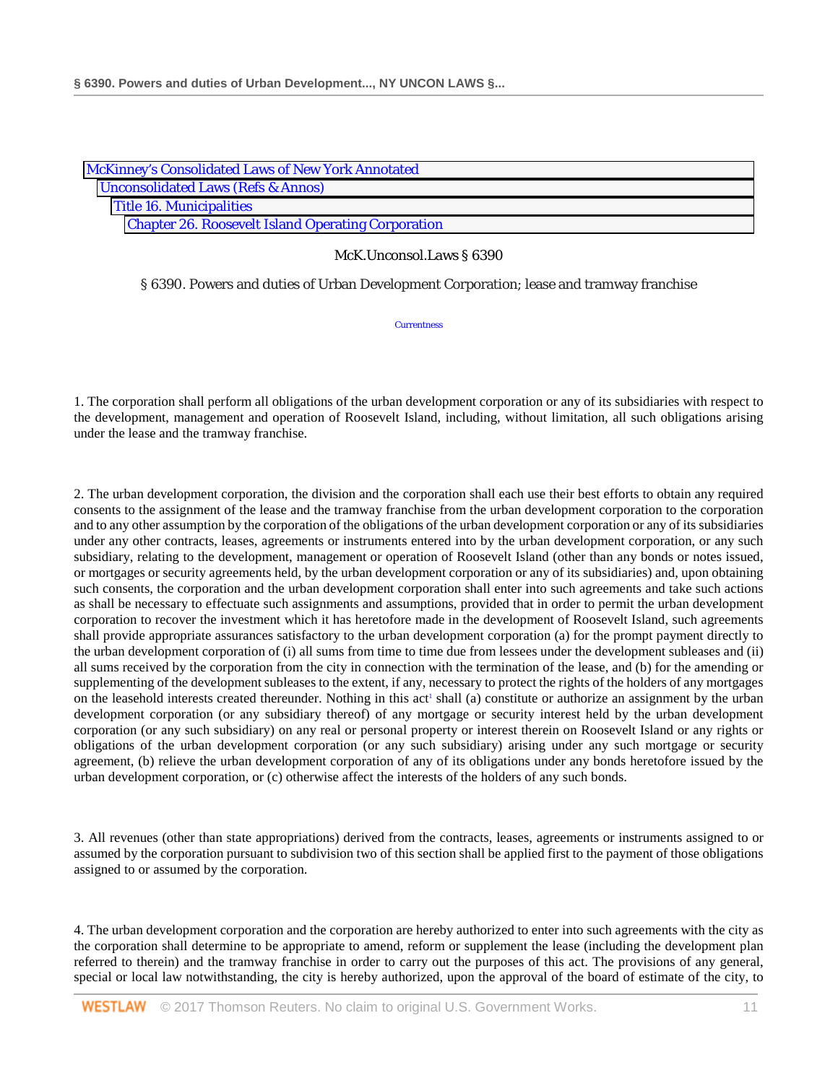| <b>McKinney's Consolidated Laws of New York Annotated</b> |
|-----------------------------------------------------------|
| <b>Unconsolidated Laws (Refs &amp; Annos)</b>             |
| <b>Title 16. Municipalities</b>                           |
| <b>Chapter 26. Roosevelt Island Operating Corporation</b> |

§ 6390. Powers and duties of Urban Development Corporation; lease and tramway franchise

**Currentness** 

1. The corporation shall perform all obligations of the urban development corporation or any of its subsidiaries with respect to the development, management and operation of Roosevelt Island, including, without limitation, all such obligations arising under the lease and the tramway franchise.

2. The urban development corporation, the division and the corporation shall each use their best efforts to obtain any required consents to the assignment of the lease and the tramway franchise from the urban development corporation to the corporation and to any other assumption by the corporation of the obligations of the urban development corporation or any of its subsidiaries under any other contracts, leases, agreements or instruments entered into by the urban development corporation, or any such subsidiary, relating to the development, management or operation of Roosevelt Island (other than any bonds or notes issued, or mortgages or security agreements held, by the urban development corporation or any of its subsidiaries) and, upon obtaining such consents, the corporation and the urban development corporation shall enter into such agreements and take such actions as shall be necessary to effectuate such assignments and assumptions, provided that in order to permit the urban development corporation to recover the investment which it has heretofore made in the development of Roosevelt Island, such agreements shall provide appropriate assurances satisfactory to the urban development corporation (a) for the prompt payment directly to the urban development corporation of (i) all sums from time to time due from lessees under the development subleases and (ii) all sums received by the corporation from the city in connection with the termination of the lease, and (b) for the amending or supplementing of the development subleases to the extent, if any, necessary to protect the rights of the holders of any mortgages on the leasehold interests created thereunder. Nothing in this act<sup>1</sup> shall (a) constitute or authorize an assignment by the urban development corporation (or any subsidiary thereof) of any mortgage or security interest held by the urban development corporation (or any such subsidiary) on any real or personal property or interest therein on Roosevelt Island or any rights or obligations of the urban development corporation (or any such subsidiary) arising under any such mortgage or security agreement, (b) relieve the urban development corporation of any of its obligations under any bonds heretofore issued by the urban development corporation, or (c) otherwise affect the interests of the holders of any such bonds.

3. All revenues (other than state appropriations) derived from the contracts, leases, agreements or instruments assigned to or assumed by the corporation pursuant to subdivision two of this section shall be applied first to the payment of those obligations assigned to or assumed by the corporation.

4. The urban development corporation and the corporation are hereby authorized to enter into such agreements with the city as the corporation shall determine to be appropriate to amend, reform or supplement the lease (including the development plan referred to therein) and the tramway franchise in order to carry out the purposes of this act. The provisions of any general, special or local law notwithstanding, the city is hereby authorized, upon the approval of the board of estimate of the city, to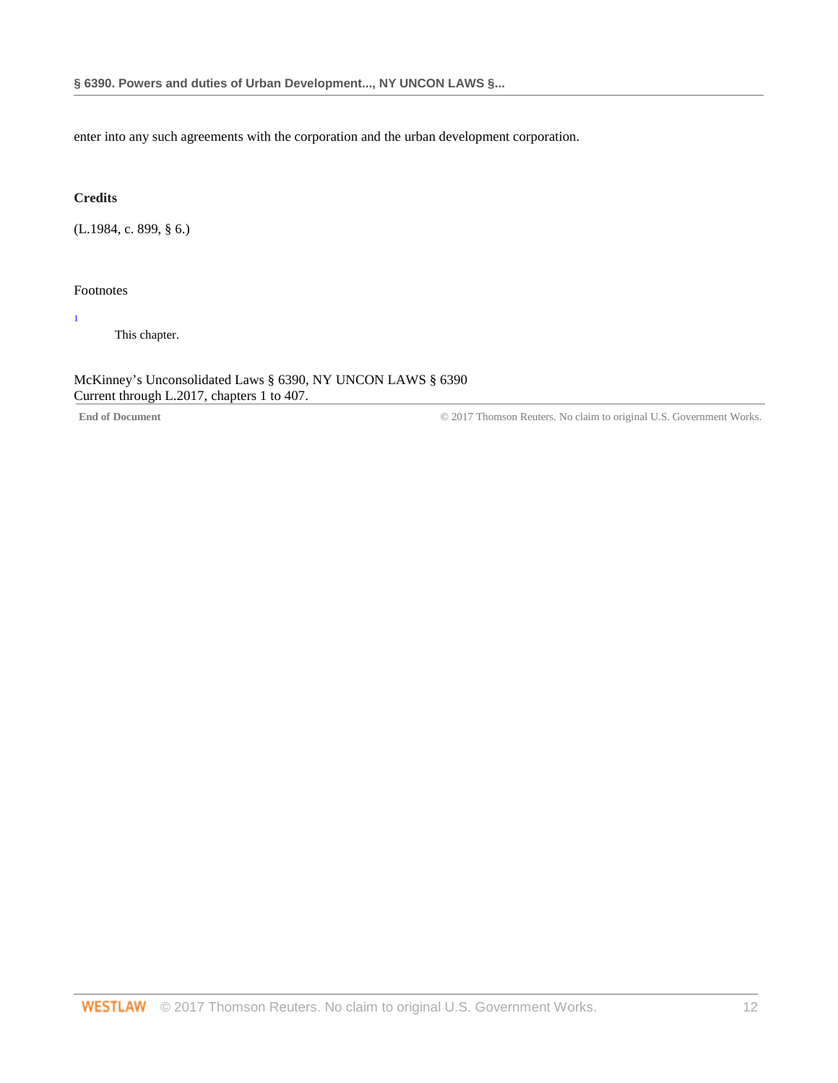enter into any such agreements with the corporation and the urban development corporation.

# **Credits**

(L.1984, c. 899, § 6.)

# Footnotes

1

This chapter.

# McKinney's Unconsolidated Laws § 6390, NY UNCON LAWS § 6390 Current through L.2017, chapters 1 to 407.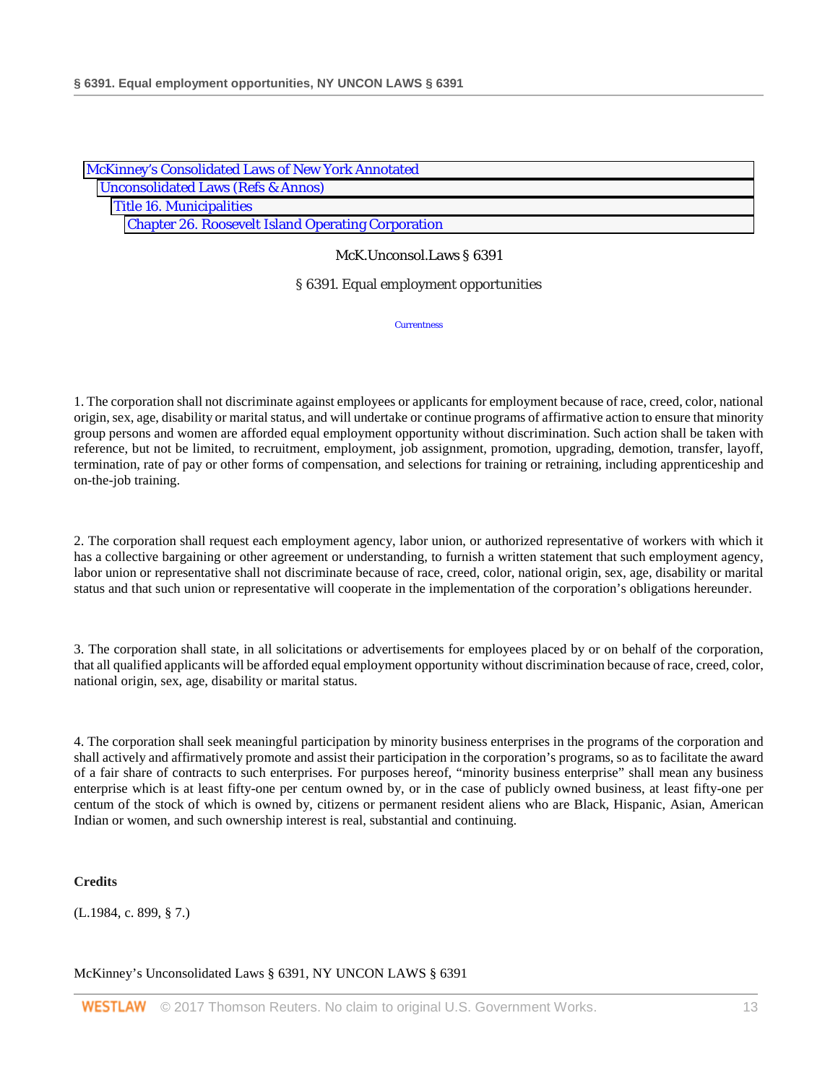| <b>McKinney's Consolidated Laws of New York Annotated</b> |  |
|-----------------------------------------------------------|--|
| <b>Unconsolidated Laws (Refs &amp; Annos)</b>             |  |
| <b>Title 16. Municipalities</b>                           |  |
| <b>Chapter 26. Roosevelt Island Operating Corporation</b> |  |

### § 6391. Equal employment opportunities

**Currentness** 

1. The corporation shall not discriminate against employees or applicants for employment because of race, creed, color, national origin, sex, age, disability or marital status, and will undertake or continue programs of affirmative action to ensure that minority group persons and women are afforded equal employment opportunity without discrimination. Such action shall be taken with reference, but not be limited, to recruitment, employment, job assignment, promotion, upgrading, demotion, transfer, layoff, termination, rate of pay or other forms of compensation, and selections for training or retraining, including apprenticeship and on-the-job training.

2. The corporation shall request each employment agency, labor union, or authorized representative of workers with which it has a collective bargaining or other agreement or understanding, to furnish a written statement that such employment agency, labor union or representative shall not discriminate because of race, creed, color, national origin, sex, age, disability or marital status and that such union or representative will cooperate in the implementation of the corporation's obligations hereunder.

3. The corporation shall state, in all solicitations or advertisements for employees placed by or on behalf of the corporation, that all qualified applicants will be afforded equal employment opportunity without discrimination because of race, creed, color, national origin, sex, age, disability or marital status.

4. The corporation shall seek meaningful participation by minority business enterprises in the programs of the corporation and shall actively and affirmatively promote and assist their participation in the corporation's programs, so as to facilitate the award of a fair share of contracts to such enterprises. For purposes hereof, "minority business enterprise" shall mean any business enterprise which is at least fifty-one per centum owned by, or in the case of publicly owned business, at least fifty-one per centum of the stock of which is owned by, citizens or permanent resident aliens who are Black, Hispanic, Asian, American Indian or women, and such ownership interest is real, substantial and continuing.

**Credits**

(L.1984, c. 899, § 7.)

McKinney's Unconsolidated Laws § 6391, NY UNCON LAWS § 6391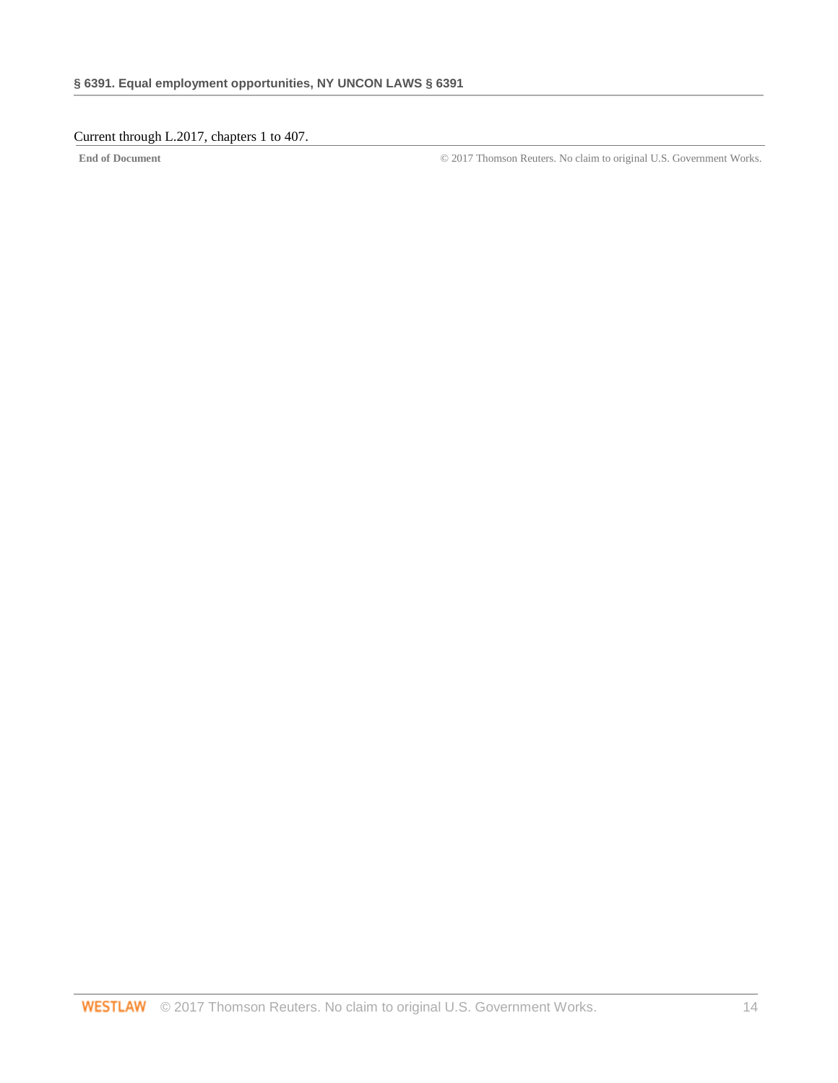# Current through L.2017, chapters 1 to 407.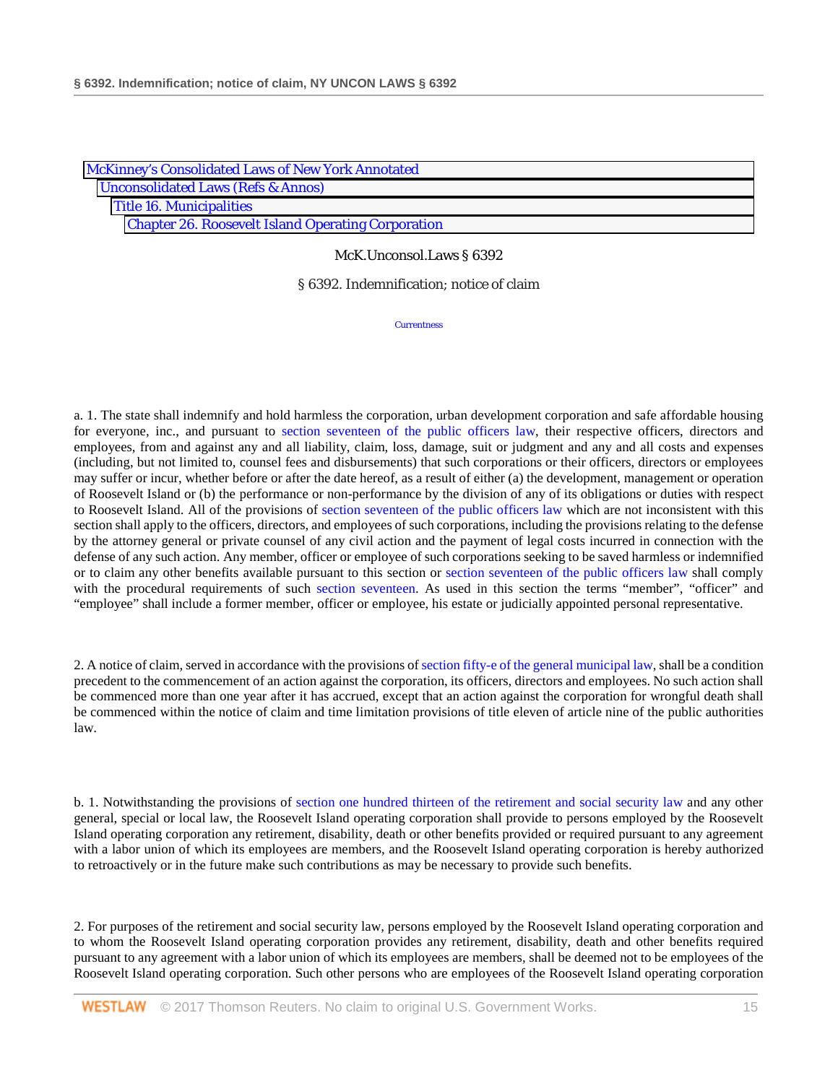| <b>McKinney's Consolidated Laws of New York Annotated</b> |  |
|-----------------------------------------------------------|--|
| <b>Unconsolidated Laws (Refs &amp; Annos)</b>             |  |
| <b>Title 16. Municipalities</b>                           |  |
| <b>Chapter 26. Roosevelt Island Operating Corporation</b> |  |

§ 6392. Indemnification; notice of claim

**Currentness** 

a. 1. The state shall indemnify and hold harmless the corporation, urban development corporation and safe affordable housing for everyone, inc., and pursuant to [section seventeen of the public officers law,](http://www.westlaw.com/Link/Document/FullText?findType=L&pubNum=1000124&cite=NYPOS17&originatingDoc=N21C0E6C088C311D8A8ACD145B11214D7&refType=LQ&originationContext=document&vr=3.0&rs=cblt1.0&transitionType=DocumentItem&contextData=(sc.Search)) their respective officers, directors and employees, from and against any and all liability, claim, loss, damage, suit or judgment and any and all costs and expenses (including, but not limited to, counsel fees and disbursements) that such corporations or their officers, directors or employees may suffer or incur, whether before or after the date hereof, as a result of either (a) the development, management or operation of Roosevelt Island or (b) the performance or non-performance by the division of any of its obligations or duties with respect to Roosevelt Island. All of the provisions of [section seventeen of the public officers law](http://www.westlaw.com/Link/Document/FullText?findType=L&pubNum=1000124&cite=NYPOS17&originatingDoc=N21C0E6C088C311D8A8ACD145B11214D7&refType=LQ&originationContext=document&vr=3.0&rs=cblt1.0&transitionType=DocumentItem&contextData=(sc.Search)) which are not inconsistent with this section shall apply to the officers, directors, and employees of such corporations, including the provisions relating to the defense by the attorney general or private counsel of any civil action and the payment of legal costs incurred in connection with the defense of any such action. Any member, officer or employee of such corporations seeking to be saved harmless or indemnified or to claim any other benefits available pursuant to this section or [section seventeen of the public officers law](http://www.westlaw.com/Link/Document/FullText?findType=L&pubNum=1000124&cite=NYPOS17&originatingDoc=N21C0E6C088C311D8A8ACD145B11214D7&refType=LQ&originationContext=document&vr=3.0&rs=cblt1.0&transitionType=DocumentItem&contextData=(sc.Search)) shall comply with the procedural requirements of such [section seventeen.](http://www.westlaw.com/Link/Document/FullText?findType=L&pubNum=1000124&cite=NYPOS17&originatingDoc=N21C0E6C088C311D8A8ACD145B11214D7&refType=LQ&originationContext=document&vr=3.0&rs=cblt1.0&transitionType=DocumentItem&contextData=(sc.Search)) As used in this section the terms "member", "officer" and "employee" shall include a former member, officer or employee, his estate or judicially appointed personal representative.

2. A notice of claim, served in accordance with the provisions o[f section fifty-e of the general municipal law,](http://www.westlaw.com/Link/Document/FullText?findType=L&pubNum=1000086&cite=NYGMS50-E&originatingDoc=N21C0E6C088C311D8A8ACD145B11214D7&refType=LQ&originationContext=document&vr=3.0&rs=cblt1.0&transitionType=DocumentItem&contextData=(sc.Search)) shall be a condition precedent to the commencement of an action against the corporation, its officers, directors and employees. No such action shall be commenced more than one year after it has accrued, except that an action against the corporation for wrongful death shall be commenced within the notice of claim and time limitation provisions of title eleven of article nine of the public authorities law.

b. 1. Notwithstanding the provisions of [section one hundred thirteen of the retirement and social security law](http://www.westlaw.com/Link/Document/FullText?findType=L&pubNum=1000133&cite=NYRSS113&originatingDoc=N21C0E6C088C311D8A8ACD145B11214D7&refType=LQ&originationContext=document&vr=3.0&rs=cblt1.0&transitionType=DocumentItem&contextData=(sc.Search)) and any other general, special or local law, the Roosevelt Island operating corporation shall provide to persons employed by the Roosevelt Island operating corporation any retirement, disability, death or other benefits provided or required pursuant to any agreement with a labor union of which its employees are members, and the Roosevelt Island operating corporation is hereby authorized to retroactively or in the future make such contributions as may be necessary to provide such benefits.

2. For purposes of the retirement and social security law, persons employed by the Roosevelt Island operating corporation and to whom the Roosevelt Island operating corporation provides any retirement, disability, death and other benefits required pursuant to any agreement with a labor union of which its employees are members, shall be deemed not to be employees of the Roosevelt Island operating corporation. Such other persons who are employees of the Roosevelt Island operating corporation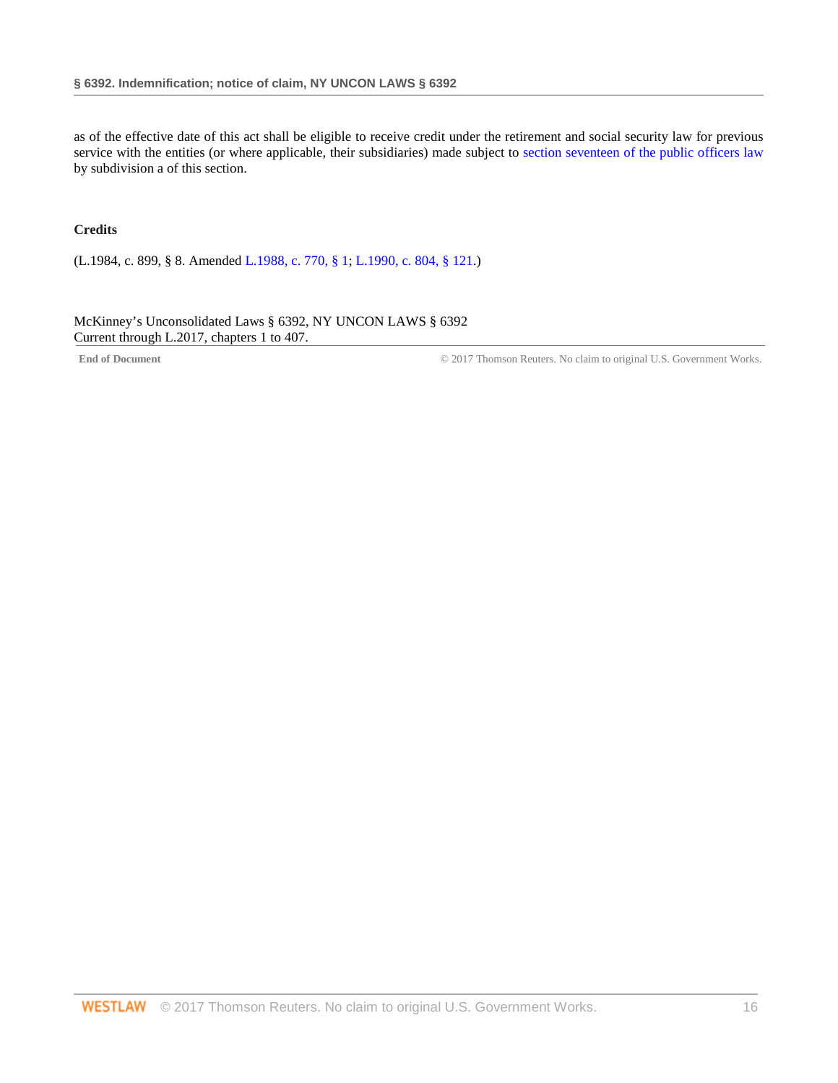as of the effective date of this act shall be eligible to receive credit under the retirement and social security law for previous service with the entities (or where applicable, their subsidiaries) made subject to [section seventeen of the public officers law](http://www.westlaw.com/Link/Document/FullText?findType=L&pubNum=1000124&cite=NYPOS17&originatingDoc=N21C0E6C088C311D8A8ACD145B11214D7&refType=LQ&originationContext=document&vr=3.0&rs=cblt1.0&transitionType=DocumentItem&contextData=(sc.Search)) by subdivision a of this section.

## **Credits**

(L.1984, c. 899, § 8. Amended [L.1988, c. 770, § 1;](http://www.westlaw.com/Link/Document/FullText?findType=l&pubNum=1077005&cite=UUID(ID2CCDAC9AD-C746A985F09-68C62C88D17)&originatingDoc=N21C0E6C088C311D8A8ACD145B11214D7&refType=SL&originationContext=document&vr=3.0&rs=cblt1.0&transitionType=DocumentItem&contextData=(sc.Search)) [L.1990, c. 804, § 121.](http://www.westlaw.com/Link/Document/FullText?findType=l&pubNum=1077005&cite=UUID(IF12AD3D4BA-8A4E7DAE0A5-E1AAEF9876A)&originatingDoc=N21C0E6C088C311D8A8ACD145B11214D7&refType=SL&originationContext=document&vr=3.0&rs=cblt1.0&transitionType=DocumentItem&contextData=(sc.Search)))

McKinney's Unconsolidated Laws § 6392, NY UNCON LAWS § 6392 Current through L.2017, chapters 1 to 407.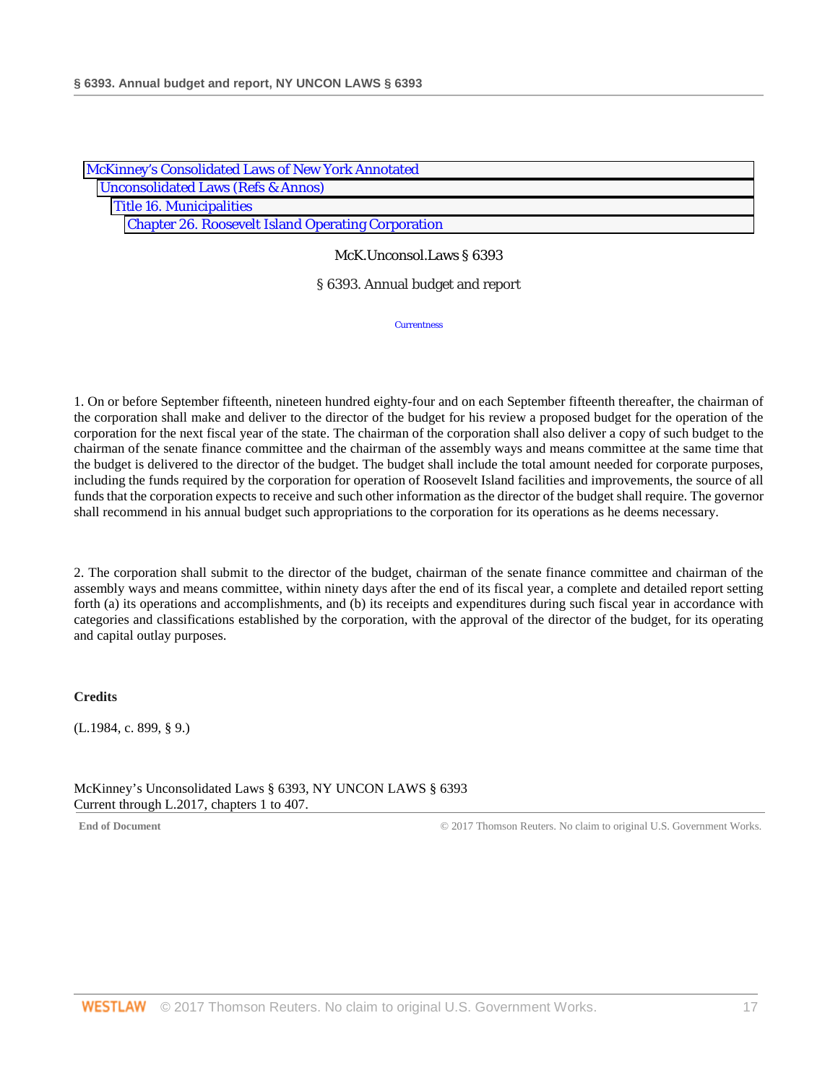| <b>McKinney's Consolidated Laws of New York Annotated</b> |  |
|-----------------------------------------------------------|--|
| <b>Unconsolidated Laws (Refs &amp; Annos)</b>             |  |
| <b>Title 16. Municipalities</b>                           |  |
| <b>Chapter 26. Roosevelt Island Operating Corporation</b> |  |

### § 6393. Annual budget and report

**Currentness** 

1. On or before September fifteenth, nineteen hundred eighty-four and on each September fifteenth thereafter, the chairman of the corporation shall make and deliver to the director of the budget for his review a proposed budget for the operation of the corporation for the next fiscal year of the state. The chairman of the corporation shall also deliver a copy of such budget to the chairman of the senate finance committee and the chairman of the assembly ways and means committee at the same time that the budget is delivered to the director of the budget. The budget shall include the total amount needed for corporate purposes, including the funds required by the corporation for operation of Roosevelt Island facilities and improvements, the source of all funds that the corporation expects to receive and such other information as the director of the budget shall require. The governor shall recommend in his annual budget such appropriations to the corporation for its operations as he deems necessary.

2. The corporation shall submit to the director of the budget, chairman of the senate finance committee and chairman of the assembly ways and means committee, within ninety days after the end of its fiscal year, a complete and detailed report setting forth (a) its operations and accomplishments, and (b) its receipts and expenditures during such fiscal year in accordance with categories and classifications established by the corporation, with the approval of the director of the budget, for its operating and capital outlay purposes.

# **Credits**

(L.1984, c. 899, § 9.)

McKinney's Unconsolidated Laws § 6393, NY UNCON LAWS § 6393 Current through L.2017, chapters 1 to 407.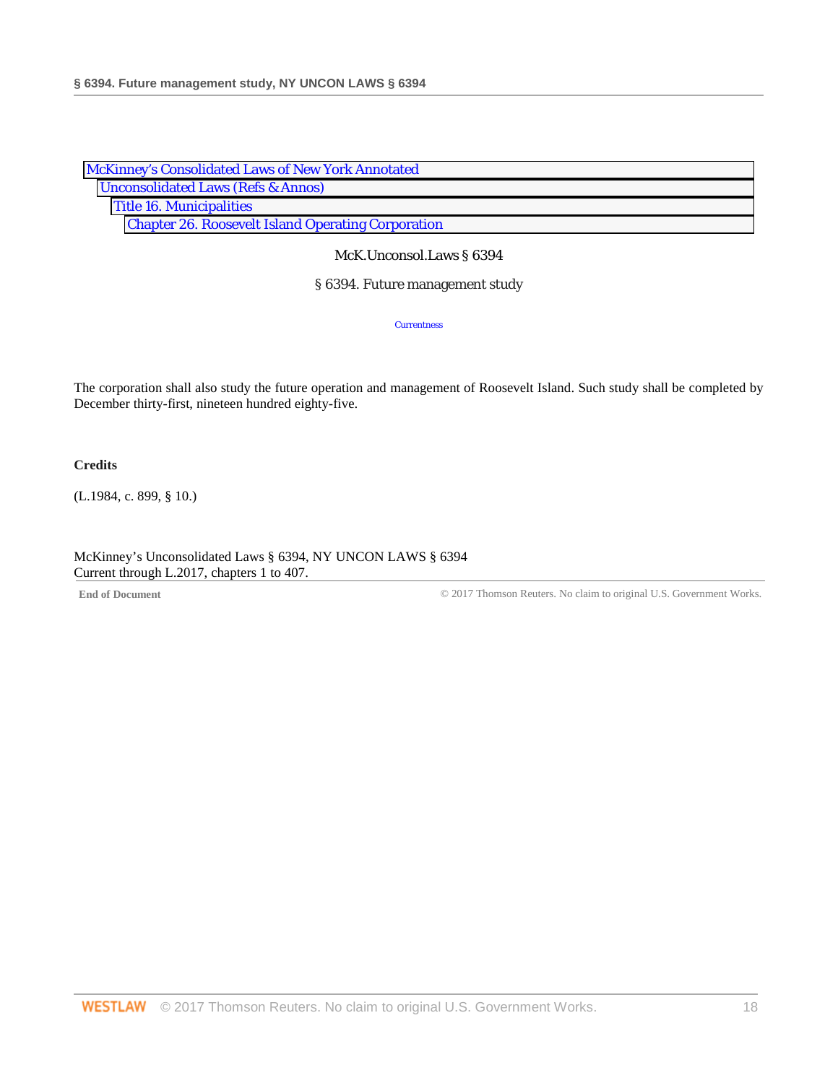| McKinney's Consolidated Laws of New York Annotated        |  |
|-----------------------------------------------------------|--|
| <b>Unconsolidated Laws (Refs &amp; Annos)</b>             |  |
| <b>Title 16. Municipalities</b>                           |  |
| <b>Chapter 26. Roosevelt Island Operating Corporation</b> |  |

§ 6394. Future management study

**Currentness** 

The corporation shall also study the future operation and management of Roosevelt Island. Such study shall be completed by December thirty-first, nineteen hundred eighty-five.

**Credits**

(L.1984, c. 899, § 10.)

McKinney's Unconsolidated Laws § 6394, NY UNCON LAWS § 6394 Current through L.2017, chapters 1 to 407.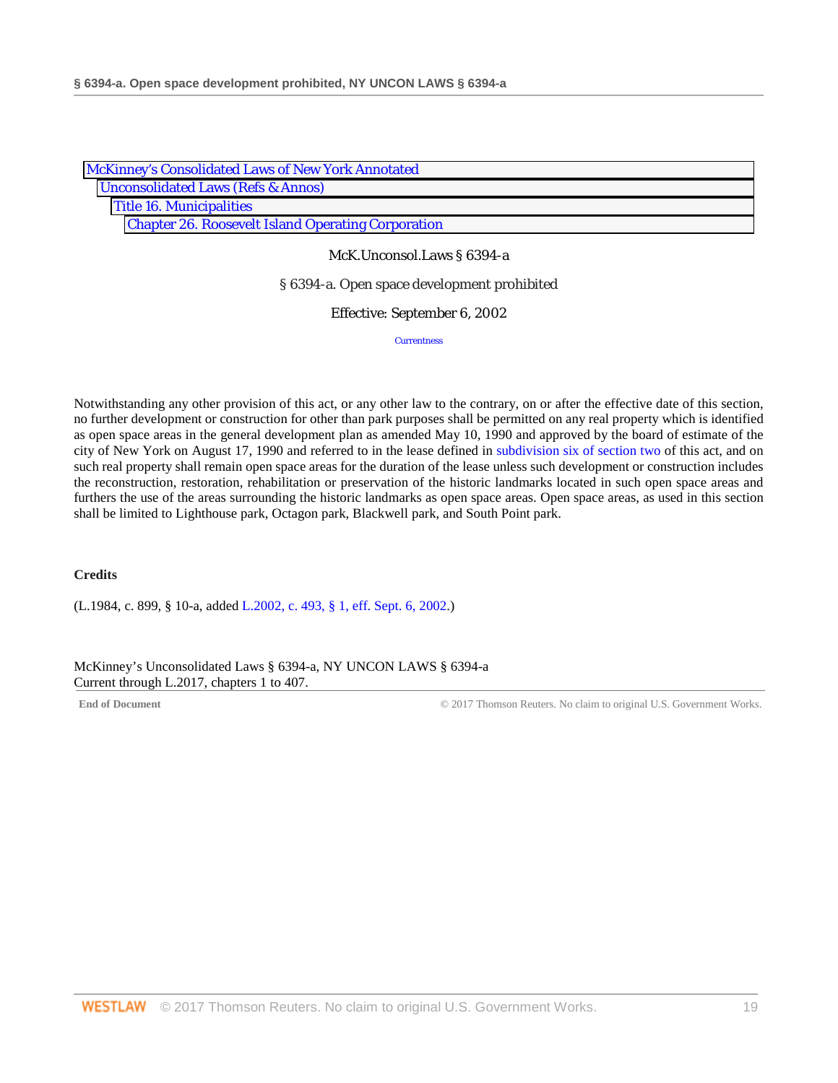| McKinney's Consolidated Laws of New York Annotated        |  |
|-----------------------------------------------------------|--|
| <b>Unconsolidated Laws (Refs &amp; Annos)</b>             |  |
| <b>Title 16. Municipalities</b>                           |  |
| <b>Chapter 26. Roosevelt Island Operating Corporation</b> |  |

McK.Unconsol.Laws § 6394-a

#### § 6394-a. Open space development prohibited

#### Effective: September 6, 2002

**Currentness** 

Notwithstanding any other provision of this act, or any other law to the contrary, on or after the effective date of this section, no further development or construction for other than park purposes shall be permitted on any real property which is identified as open space areas in the general development plan as amended May 10, 1990 and approved by the board of estimate of the city of New York on August 17, 1990 and referred to in the lease defined in [subdivision six of section two](http://www.westlaw.com/Link/Document/FullText?findType=L&pubNum=1000161&cite=NYULS2&originatingDoc=N24585A8088C311D8A8ACD145B11214D7&refType=LQ&originationContext=document&vr=3.0&rs=cblt1.0&transitionType=DocumentItem&contextData=(sc.Search)) of this act, and on such real property shall remain open space areas for the duration of the lease unless such development or construction includes the reconstruction, restoration, rehabilitation or preservation of the historic landmarks located in such open space areas and furthers the use of the areas surrounding the historic landmarks as open space areas. Open space areas, as used in this section shall be limited to Lighthouse park, Octagon park, Blackwell park, and South Point park.

### **Credits**

(L.1984, c. 899, § 10-a, added [L.2002, c. 493, § 1, eff. Sept. 6, 2002.](http://www.westlaw.com/Link/Document/FullText?findType=l&pubNum=1077005&cite=UUID(I380BFFE163-834FE2AE245-57E3666CE14)&originatingDoc=N24585A8088C311D8A8ACD145B11214D7&refType=SL&originationContext=document&vr=3.0&rs=cblt1.0&transitionType=DocumentItem&contextData=(sc.Search)))

McKinney's Unconsolidated Laws § 6394-a, NY UNCON LAWS § 6394-a Current through L.2017, chapters 1 to 407.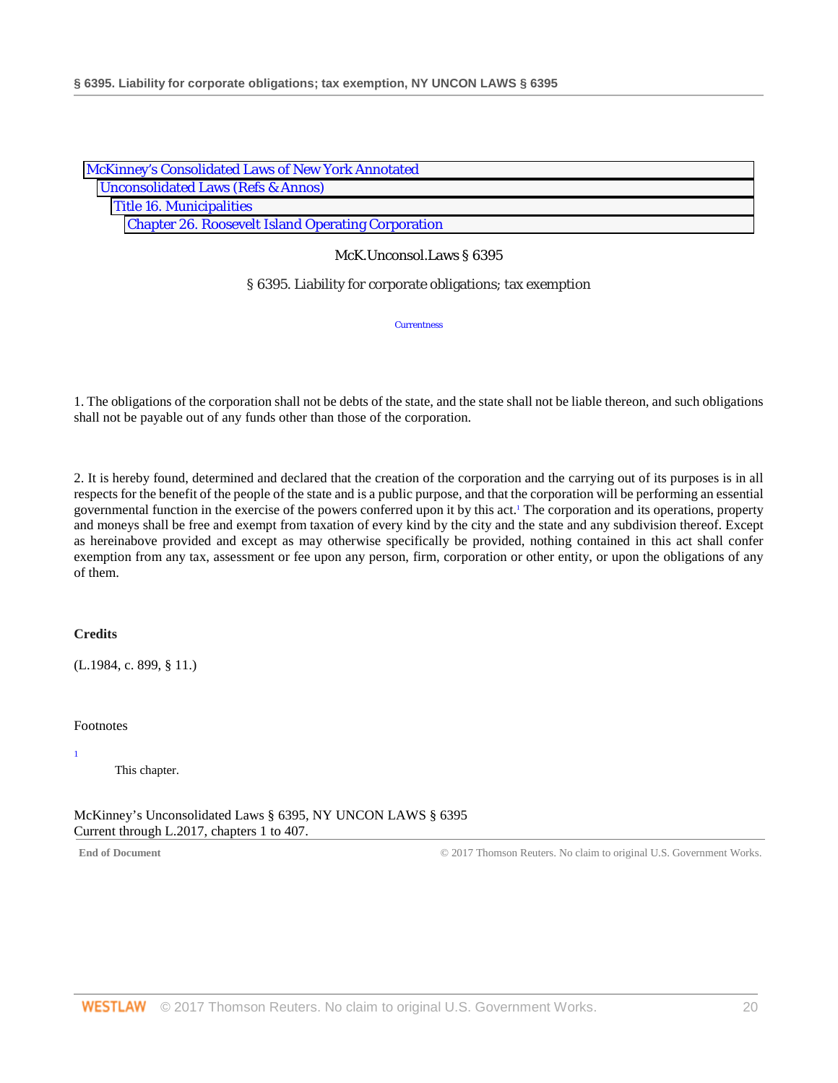| McKinney's Consolidated Laws of New York Annotated        |  |
|-----------------------------------------------------------|--|
| <b>Unconsolidated Laws (Refs &amp; Annos)</b>             |  |
| <b>Title 16. Municipalities</b>                           |  |
| <b>Chapter 26. Roosevelt Island Operating Corporation</b> |  |

§ 6395. Liability for corporate obligations; tax exemption

**Currentness** 

1. The obligations of the corporation shall not be debts of the state, and the state shall not be liable thereon, and such obligations shall not be payable out of any funds other than those of the corporation.

2. It is hereby found, determined and declared that the creation of the corporation and the carrying out of its purposes is in all respects for the benefit of the people of the state and is a public purpose, and that the corporation will be performing an essential governmental function in the exercise of the powers conferred upon it by this act.<sup>1</sup> The corporation and its operations, property and moneys shall be free and exempt from taxation of every kind by the city and the state and any subdivision thereof. Except as hereinabove provided and except as may otherwise specifically be provided, nothing contained in this act shall confer exemption from any tax, assessment or fee upon any person, firm, corporation or other entity, or upon the obligations of any of them.

# **Credits**

(L.1984, c. 899, § 11.)

### Footnotes

1

This chapter.

McKinney's Unconsolidated Laws § 6395, NY UNCON LAWS § 6395 Current through L.2017, chapters 1 to 407.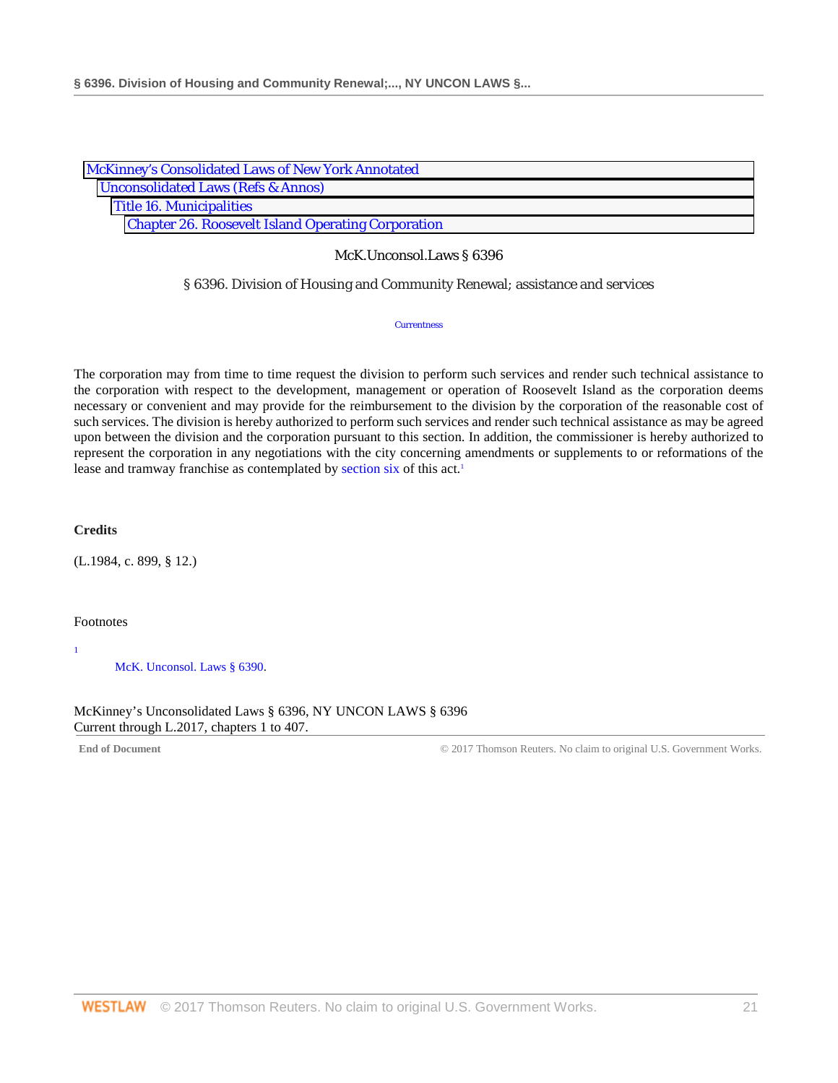| <b>McKinney's Consolidated Laws of New York Annotated</b> |
|-----------------------------------------------------------|
| <b>Unconsolidated Laws (Refs &amp; Annos)</b>             |
| <b>Title 16. Municipalities</b>                           |
| <b>Chapter 26. Roosevelt Island Operating Corporation</b> |

### § 6396. Division of Housing and Community Renewal; assistance and services

**Currentness** 

The corporation may from time to time request the division to perform such services and render such technical assistance to the corporation with respect to the development, management or operation of Roosevelt Island as the corporation deems necessary or convenient and may provide for the reimbursement to the division by the corporation of the reasonable cost of such services. The division is hereby authorized to perform such services and render such technical assistance as may be agreed upon between the division and the corporation pursuant to this section. In addition, the commissioner is hereby authorized to represent the corporation in any negotiations with the city concerning amendments or supplements to or reformations of the lease and tramway franchise as contemplated by [section six](http://www.westlaw.com/Link/Document/FullText?findType=L&pubNum=1000161&cite=NYULS6&originatingDoc=N2A61756088C311D8A8ACD145B11214D7&refType=LQ&originationContext=document&vr=3.0&rs=cblt1.0&transitionType=DocumentItem&contextData=(sc.Search)) of this act.<sup>1</sup>

**Credits**

(L.1984, c. 899, § 12.)

### Footnotes

1

[McK. Unconsol. Laws § 6390.](http://www.westlaw.com/Link/Document/FullText?findType=L&pubNum=1000161&cite=NYULS6390&originatingDoc=N2A61756088C311D8A8ACD145B11214D7&refType=LQ&originationContext=document&vr=3.0&rs=cblt1.0&transitionType=DocumentItem&contextData=(sc.Search))

McKinney's Unconsolidated Laws § 6396, NY UNCON LAWS § 6396 Current through L.2017, chapters 1 to 407.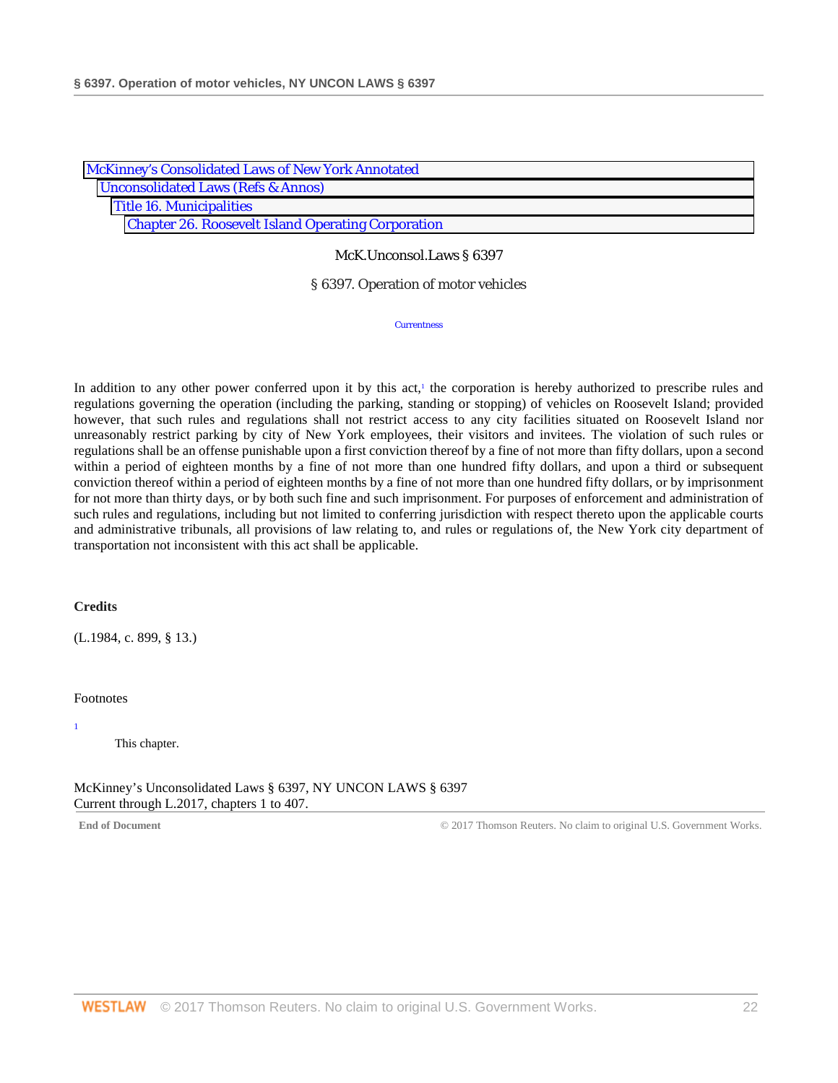| McKinney's Consolidated Laws of New York Annotated        |
|-----------------------------------------------------------|
| <b>Unconsolidated Laws (Refs &amp; Annos)</b>             |
| <b>Title 16. Municipalities</b>                           |
| <b>Chapter 26. Roosevelt Island Operating Corporation</b> |

#### § 6397. Operation of motor vehicles

**Currentness** 

In addition to any other power conferred upon it by this act,<sup>1</sup> the corporation is hereby authorized to prescribe rules and regulations governing the operation (including the parking, standing or stopping) of vehicles on Roosevelt Island; provided however, that such rules and regulations shall not restrict access to any city facilities situated on Roosevelt Island nor unreasonably restrict parking by city of New York employees, their visitors and invitees. The violation of such rules or regulations shall be an offense punishable upon a first conviction thereof by a fine of not more than fifty dollars, upon a second within a period of eighteen months by a fine of not more than one hundred fifty dollars, and upon a third or subsequent conviction thereof within a period of eighteen months by a fine of not more than one hundred fifty dollars, or by imprisonment for not more than thirty days, or by both such fine and such imprisonment. For purposes of enforcement and administration of such rules and regulations, including but not limited to conferring jurisdiction with respect thereto upon the applicable courts and administrative tribunals, all provisions of law relating to, and rules or regulations of, the New York city department of transportation not inconsistent with this act shall be applicable.

#### **Credits**

(L.1984, c. 899, § 13.)

### Footnotes

This chapter.

McKinney's Unconsolidated Laws § 6397, NY UNCON LAWS § 6397 Current through L.2017, chapters 1 to 407.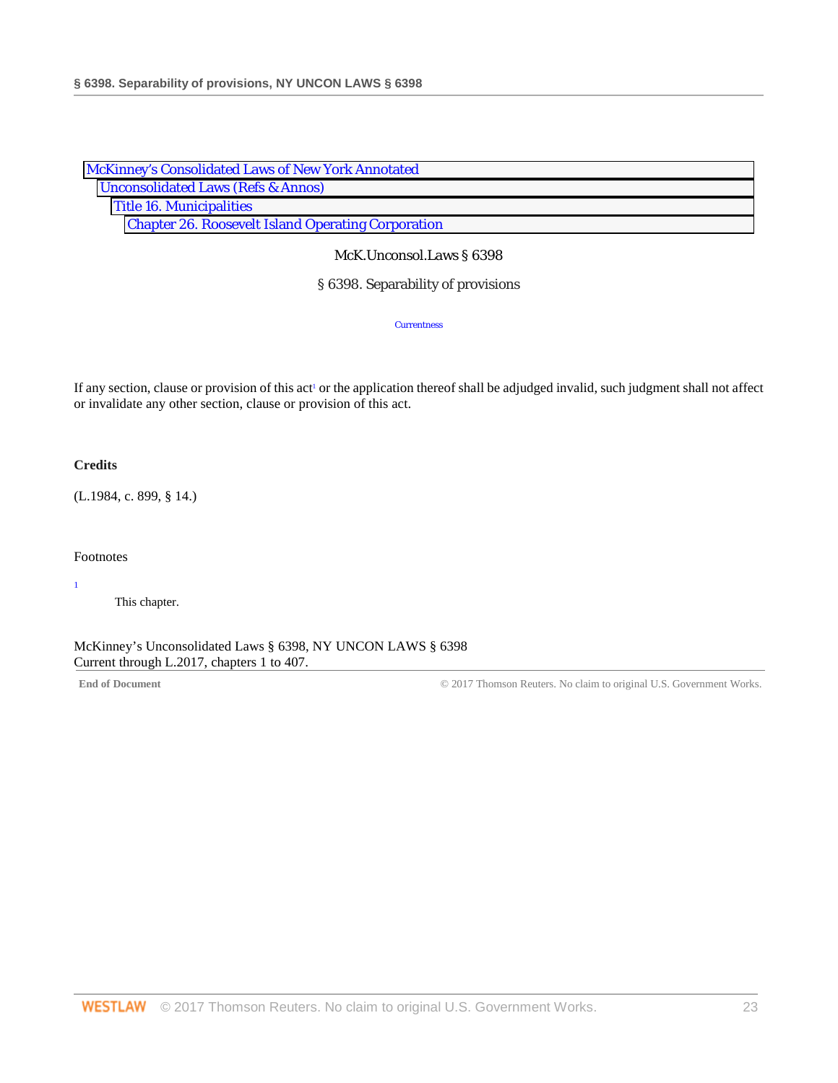| McKinney's Consolidated Laws of New York Annotated        |  |
|-----------------------------------------------------------|--|
| <b>Unconsolidated Laws (Refs &amp; Annos)</b>             |  |
| <b>Title 16. Municipalities</b>                           |  |
| <b>Chapter 26. Roosevelt Island Operating Corporation</b> |  |

## § 6398. Separability of provisions

**Currentness** 

If any section, clause or provision of this act<sup>1</sup> or the application thereof shall be adjudged invalid, such judgment shall not affect or invalidate any other section, clause or provision of this act.

## **Credits**

(L.1984, c. 899, § 14.)

### Footnotes

1

This chapter.

McKinney's Unconsolidated Laws § 6398, NY UNCON LAWS § 6398 Current through L.2017, chapters 1 to 407.